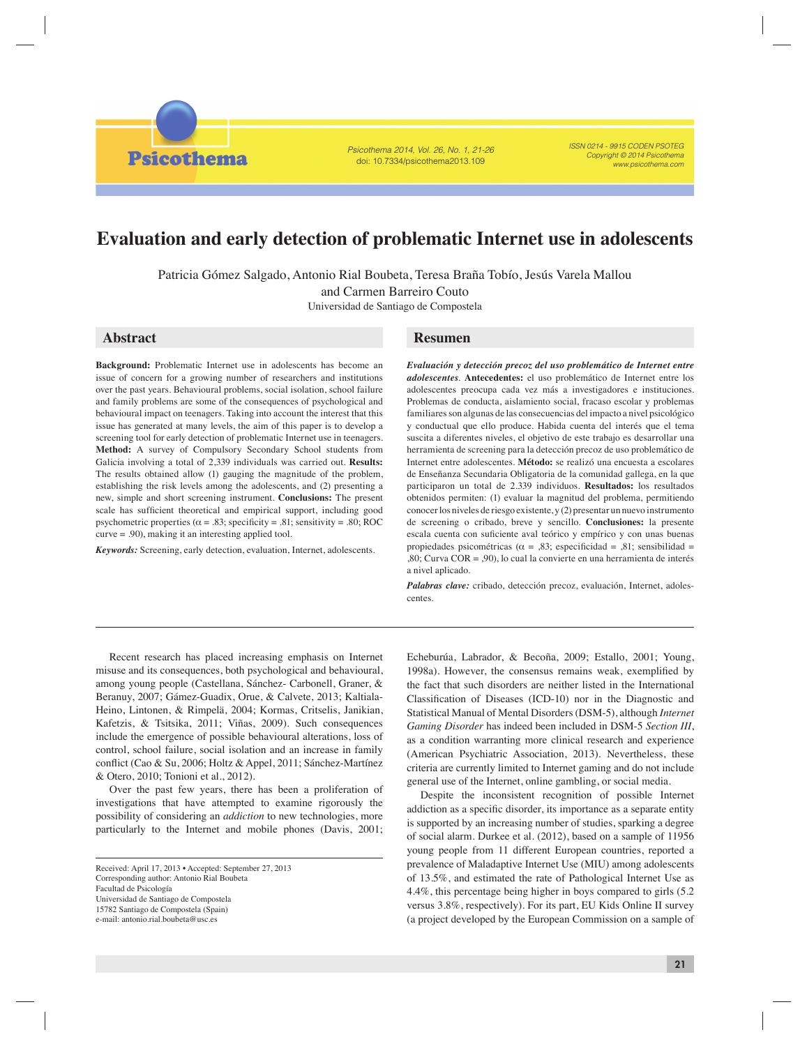*Psicothema 2014, Vol. 26, No. 1, 21-26* doi: 10.7334/psicothema2013.109

*ISSN 0214 - 9915 CODEN PSOTEG Copyright © 2014 Psicothema www.psicothema.com*

# **Evaluation and early detection of problematic Internet use in adolescents**

Patricia Gómez Salgado, Antonio Rial Boubeta, Teresa Braña Tobío, Jesús Varela Mallou

and Carmen Barreiro Couto

Universidad de Santiago de Compostela

# **Abstract**

**Psicothema** 

**Background:** Problematic Internet use in adolescents has become an issue of concern for a growing number of researchers and institutions over the past years. Behavioural problems, social isolation, school failure and family problems are some of the consequences of psychological and behavioural impact on teenagers. Taking into account the interest that this issue has generated at many levels, the aim of this paper is to develop a screening tool for early detection of problematic Internet use in teenagers. **Method:** A survey of Compulsory Secondary School students from Galicia involving a total of 2,339 individuals was carried out. **Results:**  The results obtained allow (1) gauging the magnitude of the problem, establishing the risk levels among the adolescents, and (2) presenting a new, simple and short screening instrument. **Conclusions:** The present scale has sufficient theoretical and empirical support, including good psychometric properties ( $\alpha = .83$ ; specificity = .81; sensitivity = .80; ROC curve = .90), making it an interesting applied tool.

*Keywords:* Screening, early detection, evaluation, Internet, adolescents.

# **Resumen**

*Evaluación y detección precoz del uso problemático de Internet entre adolescentes*. **Antecedentes:** el uso problemático de Internet entre los adolescentes preocupa cada vez más a investigadores e instituciones. Problemas de conducta, aislamiento social, fracaso escolar y problemas familiares son algunas de las consecuencias del impacto a nivel psicológico y conductual que ello produce. Habida cuenta del interés que el tema suscita a diferentes niveles, el objetivo de este trabajo es desarrollar una herramienta de screening para la detección precoz de uso problemático de Internet entre adolescentes. **Método:** se realizó una encuesta a escolares de Enseñanza Secundaria Obligatoria de la comunidad gallega, en la que participaron un total de 2.339 individuos. **Resultados:** los resultados obtenidos permiten: (1) evaluar la magnitud del problema, permitiendo conocer los niveles de riesgo existente, y (2) presentar un nuevo instrumento de screening o cribado, breve y sencillo. **Conclusiones:** la presente escala cuenta con suficiente aval teórico y empírico y con unas buenas propiedades psicométricas ( $\alpha = 0.83$ ; especificidad = 0.81; sensibilidad = ,80; Curva COR = ,90), lo cual la convierte en una herramienta de interés a nivel aplicado.

*Palabras clave:* cribado, detección precoz, evaluación, Internet, adolescentes.

Recent research has placed increasing emphasis on Internet misuse and its consequences, both psychological and behavioural, among young people (Castellana, Sánchez- Carbonell, Graner, & Beranuy, 2007; Gámez-Guadix, Orue, & Calvete, 2013; Kaltiala-Heino, Lintonen, & Rimpelä, 2004; Kormas, Critselis, Janikian, Kafetzis, & Tsitsika, 2011; Viñas, 2009). Such consequences include the emergence of possible behavioural alterations, loss of control, school failure, social isolation and an increase in family conflict (Cao & Su, 2006; Holtz & Appel, 2011; Sánchez-Martínez & Otero, 2010; Tonioni et al., 2012).

Over the past few years, there has been a proliferation of investigations that have attempted to examine rigorously the possibility of considering an *addiction* to new technologies, more particularly to the Internet and mobile phones (Davis, 2001;

Universidad de Santiago de Compostela

15782 Santiago de Compostela (Spain)

e-mail: antonio.rial.boubeta@usc.es

Echeburúa, Labrador, & Becoña, 2009; Estallo, 2001; Young, 1998a). However, the consensus remains weak, exemplified by the fact that such disorders are neither listed in the International Classification of Diseases (ICD-10) nor in the Diagnostic and Statistical Manual of Mental Disorders (DSM-5), although *Internet Gaming Disorder* has indeed been included in DSM-5 *Section III*, as a condition warranting more clinical research and experience (American Psychiatric Association, 2013). Nevertheless, these criteria are currently limited to Internet gaming and do not include general use of the Internet, online gambling, or social media.

Despite the inconsistent recognition of possible Internet addiction as a specific disorder, its importance as a separate entity is supported by an increasing number of studies, sparking a degree of social alarm. Durkee et al. (2012), based on a sample of 11956 young people from 11 different European countries, reported a prevalence of Maladaptive Internet Use (MIU) among adolescents of 13.5%, and estimated the rate of Pathological Internet Use as 4.4%, this percentage being higher in boys compared to girls (5.2 versus 3.8%, respectively). For its part, EU Kids Online II survey (a project developed by the European Commission on a sample of

Received: April 17, 2013 • Accepted: September 27, 2013 Corresponding author: Antonio Rial Boubeta Facultad de Psicología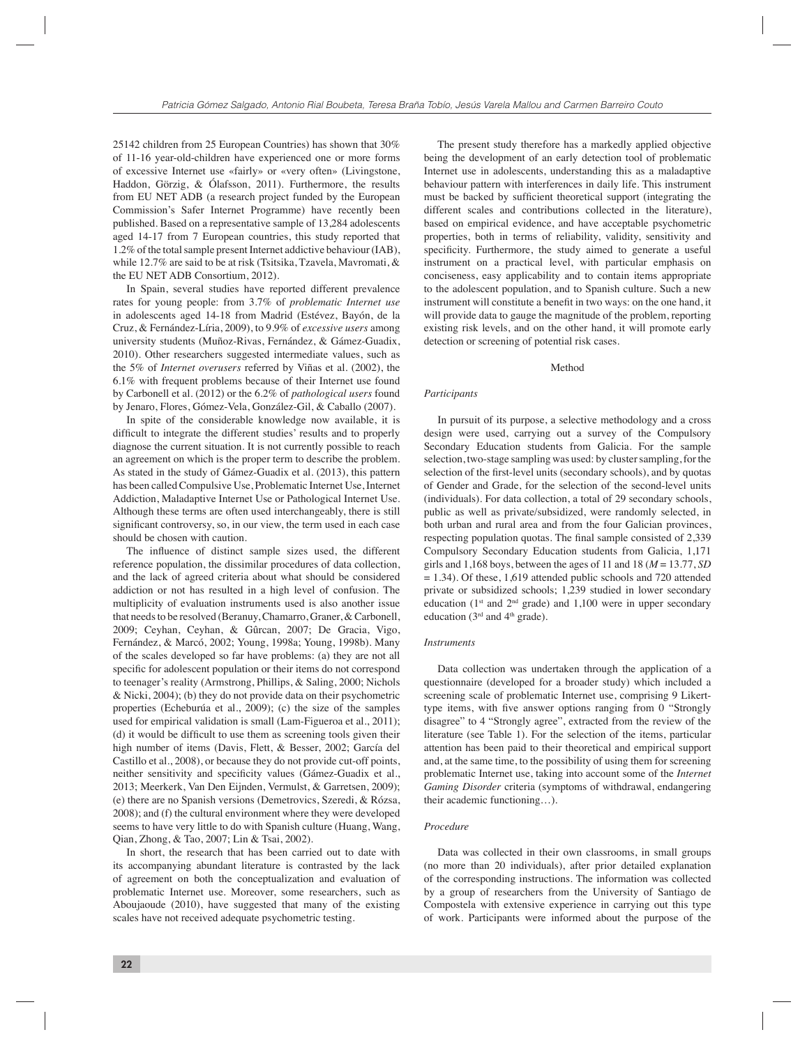25142 children from 25 European Countries) has shown that 30% of 11-16 year-old-children have experienced one or more forms of excessive Internet use «fairly» or «very often» (Livingstone, Haddon, Görzig, & Ólafsson, 2011). Furthermore, the results from EU NET ADB (a research project funded by the European Commission's Safer Internet Programme) have recently been published. Based on a representative sample of 13,284 adolescents aged 14-17 from 7 European countries, this study reported that 1.2% of the total sample present Internet addictive behaviour (IAB), while 12.7% are said to be at risk (Tsitsika, Tzavela, Mavromati, & the EU NET ADB Consortium, 2012).

In Spain, several studies have reported different prevalence rates for young people: from 3.7% of *problematic Internet use* in adolescents aged 14-18 from Madrid (Estévez, Bayón, de la Cruz, & Fernández-Líria, 2009), to 9.9% of *excessive users* among university students (Muñoz-Rivas, Fernández, & Gámez-Guadix, 2010). Other researchers suggested intermediate values, such as the 5% of *Internet overusers* referred by Viñas et al. (2002), the 6.1% with frequent problems because of their Internet use found by Carbonell et al. (2012) or the 6.2% of *pathological users* found by Jenaro, Flores, Gómez-Vela, González-Gil, & Caballo (2007).

In spite of the considerable knowledge now available, it is difficult to integrate the different studies' results and to properly diagnose the current situation. It is not currently possible to reach an agreement on which is the proper term to describe the problem. As stated in the study of Gámez-Guadix et al. (2013), this pattern has been called Compulsive Use, Problematic Internet Use, Internet Addiction, Maladaptive Internet Use or Pathological Internet Use. Although these terms are often used interchangeably, there is still significant controversy, so, in our view, the term used in each case should be chosen with caution.

The influence of distinct sample sizes used, the different reference population, the dissimilar procedures of data collection, and the lack of agreed criteria about what should be considered addiction or not has resulted in a high level of confusion. The multiplicity of evaluation instruments used is also another issue that needs to be resolved (Beranuy, Chamarro, Graner, & Carbonell, 2009; Ceyhan, Ceyhan, & Gûrcan, 2007; De Gracia, Vigo, Fernández, & Marcó, 2002; Young, 1998a; Young, 1998b). Many of the scales developed so far have problems: (a) they are not all specific for adolescent population or their items do not correspond to teenager's reality (Armstrong, Phillips, & Saling, 2000; Nichols & Nicki, 2004); (b) they do not provide data on their psychometric properties (Echeburúa et al., 2009); (c) the size of the samples used for empirical validation is small (Lam-Figueroa et al., 2011); (d) it would be difficult to use them as screening tools given their high number of items (Davis, Flett, & Besser, 2002; García del Castillo et al., 2008), or because they do not provide cut-off points, neither sensitivity and specificity values (Gámez-Guadix et al., 2013; Meerkerk, Van Den Eijnden, Vermulst, & Garretsen, 2009); (e) there are no Spanish versions (Demetrovics, Szeredi, & Rózsa, 2008); and (f) the cultural environment where they were developed seems to have very little to do with Spanish culture (Huang, Wang, Qian, Zhong, & Tao, 2007; Lin & Tsai, 2002).

In short, the research that has been carried out to date with its accompanying abundant literature is contrasted by the lack of agreement on both the conceptualization and evaluation of problematic Internet use. Moreover, some researchers, such as Aboujaoude (2010), have suggested that many of the existing scales have not received adequate psychometric testing.

The present study therefore has a markedly applied objective being the development of an early detection tool of problematic Internet use in adolescents, understanding this as a maladaptive behaviour pattern with interferences in daily life. This instrument must be backed by sufficient theoretical support (integrating the different scales and contributions collected in the literature), based on empirical evidence, and have acceptable psychometric properties, both in terms of reliability, validity, sensitivity and specificity. Furthermore, the study aimed to generate a useful instrument on a practical level, with particular emphasis on conciseness, easy applicability and to contain items appropriate to the adolescent population, and to Spanish culture. Such a new instrument will constitute a benefit in two ways: on the one hand, it will provide data to gauge the magnitude of the problem, reporting existing risk levels, and on the other hand, it will promote early detection or screening of potential risk cases.

#### Method

#### *Participants*

In pursuit of its purpose, a selective methodology and a cross design were used, carrying out a survey of the Compulsory Secondary Education students from Galicia. For the sample selection, two-stage sampling was used: by cluster sampling, for the selection of the first-level units (secondary schools), and by quotas of Gender and Grade, for the selection of the second-level units (individuals). For data collection, a total of 29 secondary schools, public as well as private/subsidized, were randomly selected, in both urban and rural area and from the four Galician provinces, respecting population quotas. The final sample consisted of 2,339 Compulsory Secondary Education students from Galicia, 1,171 girls and 1,168 boys, between the ages of 11 and 18  $(M = 13.77, SD$  $= 1.34$ ). Of these, 1,619 attended public schools and 720 attended private or subsidized schools; 1,239 studied in lower secondary education ( $1<sup>st</sup>$  and  $2<sup>nd</sup>$  grade) and 1,100 were in upper secondary education ( $3<sup>rd</sup>$  and  $4<sup>th</sup>$  grade).

#### *Instruments*

Data collection was undertaken through the application of a questionnaire (developed for a broader study) which included a screening scale of problematic Internet use, comprising 9 Likerttype items, with five answer options ranging from 0 "Strongly disagree" to 4 "Strongly agree", extracted from the review of the literature (see Table 1). For the selection of the items, particular attention has been paid to their theoretical and empirical support and, at the same time, to the possibility of using them for screening problematic Internet use, taking into account some of the *Internet Gaming Disorder* criteria (symptoms of withdrawal, endangering their academic functioning…).

#### *Procedure*

Data was collected in their own classrooms, in small groups (no more than 20 individuals), after prior detailed explanation of the corresponding instructions. The information was collected by a group of researchers from the University of Santiago de Compostela with extensive experience in carrying out this type of work. Participants were informed about the purpose of the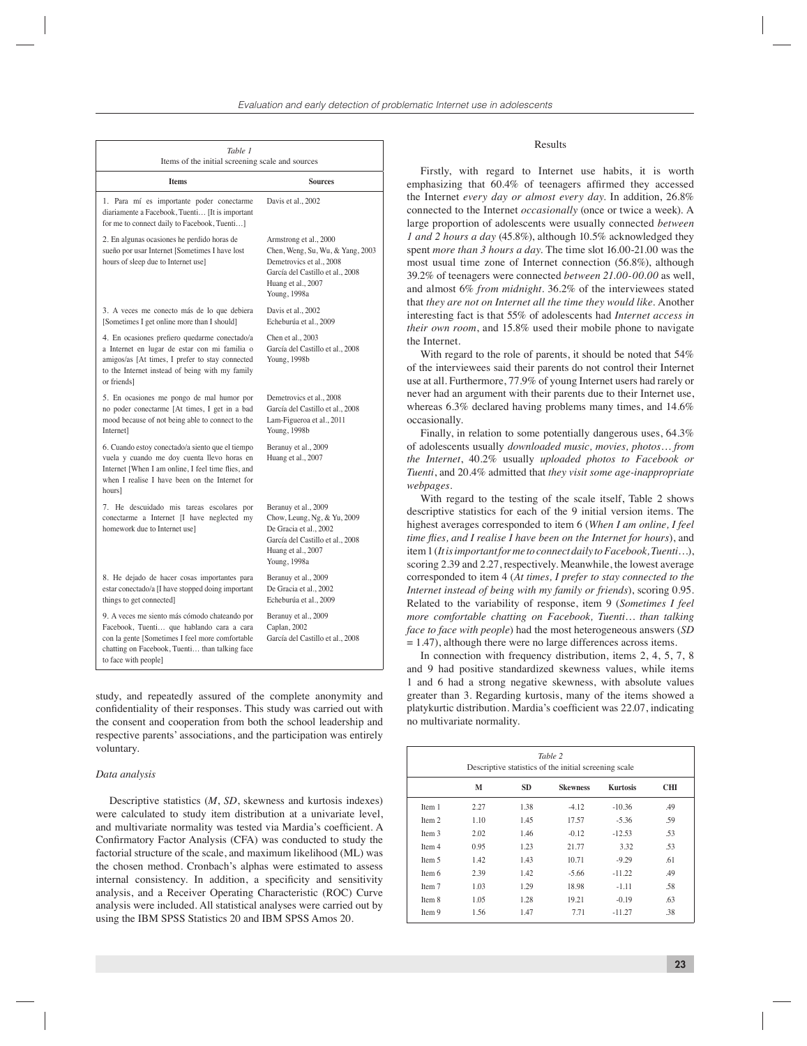| Table 1<br>Items of the initial screening scale and sources                                                                                                                                                             |                                                                                                                                                                  |  |  |  |  |  |
|-------------------------------------------------------------------------------------------------------------------------------------------------------------------------------------------------------------------------|------------------------------------------------------------------------------------------------------------------------------------------------------------------|--|--|--|--|--|
| <b>Items</b>                                                                                                                                                                                                            | <b>Sources</b>                                                                                                                                                   |  |  |  |  |  |
| 1. Para mí es importante poder conectarme<br>diariamente a Facebook, Tuenti [It is important<br>for me to connect daily to Facebook, Tuenti]                                                                            | Davis et al., 2002                                                                                                                                               |  |  |  |  |  |
| 2. En algunas ocasiones he perdido horas de<br>sueño por usar Internet [Sometimes I have lost<br>hours of sleep due to Internet use]                                                                                    | Armstrong et al., 2000<br>Chen, Weng, Su, Wu, & Yang, 2003<br>Demetrovics et al., 2008<br>García del Castillo et al., 2008<br>Huang et al., 2007<br>Young, 1998a |  |  |  |  |  |
| 3. A veces me conecto más de lo que debiera<br>[Sometimes I get online more than I should]                                                                                                                              | Davis et al., 2002<br>Echeburúa et al., 2009                                                                                                                     |  |  |  |  |  |
| 4. En ocasiones prefiero quedarme conectado/a<br>a Internet en lugar de estar con mi familia o<br>amigos/as [At times, I prefer to stay connected<br>to the Internet instead of being with my family<br>or friends]     | Chen et al., 2003<br>García del Castillo et al., 2008<br>Young, 1998b                                                                                            |  |  |  |  |  |
| 5. En ocasiones me pongo de mal humor por<br>no poder conectarme [At times, I get in a bad<br>mood because of not being able to connect to the<br>Internet]                                                             | Demetrovics et al., 2008<br>García del Castillo et al., 2008<br>Lam-Figueroa et al., 2011<br>Young, 1998b                                                        |  |  |  |  |  |
| 6. Cuando estoy conectado/a siento que el tiempo<br>vuela y cuando me doy cuenta llevo horas en<br>Internet [When I am online, I feel time flies, and<br>when I realise I have been on the Internet for<br>hours]       | Beranuy et al., 2009<br>Huang et al., 2007                                                                                                                       |  |  |  |  |  |
| 7. He descuidado mis tareas escolares por<br>conectarme a Internet [I have neglected my<br>homework due to Internet use]                                                                                                | Beranuy et al., 2009<br>Chow, Leung, Ng, & Yu, 2009<br>De Gracia et al., 2002<br>García del Castillo et al., 2008<br>Huang et al., 2007<br>Young, 1998a          |  |  |  |  |  |
| 8. He dejado de hacer cosas importantes para<br>estar conectado/a [I have stopped doing important<br>things to get connected]                                                                                           | Beranuy et al., 2009<br>De Gracia et al., 2002<br>Echeburúa et al., 2009                                                                                         |  |  |  |  |  |
| 9. A veces me siento más cómodo chateando por<br>Facebook, Tuenti que hablando cara a cara<br>con la gente [Sometimes I feel more comfortable<br>chatting on Facebook, Tuenti than talking face<br>to face with people] | Beranuy et al., 2009<br>Caplan, 2002<br>García del Castillo et al., 2008                                                                                         |  |  |  |  |  |

study, and repeatedly assured of the complete anonymity and confidentiality of their responses. This study was carried out with the consent and cooperation from both the school leadership and respective parents' associations, and the participation was entirely voluntary.

#### *Data analysis*

Descriptive statistics (*M*, *SD*, skewness and kurtosis indexes) were calculated to study item distribution at a univariate level, and multivariate normality was tested via Mardia's coefficient. A Confirmatory Factor Analysis (CFA) was conducted to study the factorial structure of the scale, and maximum likelihood (ML) was the chosen method. Cronbach's alphas were estimated to assess internal consistency. In addition, a specificity and sensitivity analysis, and a Receiver Operating Characteristic (ROC) Curve analysis were included. All statistical analyses were carried out by using the IBM SPSS Statistics 20 and IBM SPSS Amos 20.

### Results

Firstly, with regard to Internet use habits, it is worth emphasizing that  $60.4\%$  of teenagers affirmed they accessed the Internet *every day or almost every day*. In addition, 26.8% connected to the Internet *occasionally* (once or twice a week). A large proportion of adolescents were usually connected *between 1 and 2 hours a day* (45.8%), although 10.5% acknowledged they spent *more than 3 hours a day*. The time slot 16.00-21.00 was the most usual time zone of Internet connection (56.8%), although 39.2% of teenagers were connected *between 21.00-00.00* as well, and almost 6% *from midnight.* 36.2% of the interviewees stated that *they are not on Internet all the time they would like*. Another interesting fact is that 55% of adolescents had *Internet access in their own room*, and 15.8% used their mobile phone to navigate the Internet.

With regard to the role of parents, it should be noted that 54% of the interviewees said their parents do not control their Internet use at all. Furthermore, 77.9% of young Internet users had rarely or never had an argument with their parents due to their Internet use, whereas 6.3% declared having problems many times, and 14.6% occasionally.

Finally, in relation to some potentially dangerous uses, 64.3% of adolescents usually *downloaded music, movies, photos… from the Internet*, 40.2% usually *uploaded photos to Facebook or Tuenti*, and 20.4% admitted that *they visit some age-inappropriate webpages*.

With regard to the testing of the scale itself, Table 2 shows descriptive statistics for each of the 9 initial version items. The highest averages corresponded to item 6 (*When I am online, I feel time flies, and I realise I have been on the Internet for hours*), and item 1 (*It is important for me to connect daily to Facebook, Tuenti…*), scoring 2.39 and 2.27, respectively. Meanwhile, the lowest average corresponded to item 4 (*At times, I prefer to stay connected to the Internet instead of being with my family or friends*), scoring 0.95. Related to the variability of response, item 9 (*Sometimes I feel more comfortable chatting on Facebook, Tuenti… than talking face to face with people*) had the most heterogeneous answers (*SD* = 1.47), although there were no large differences across items.

In connection with frequency distribution, items 2, 4, 5, 7, 8 and 9 had positive standardized skewness values, while items 1 and 6 had a strong negative skewness, with absolute values greater than 3. Regarding kurtosis, many of the items showed a platykurtic distribution. Mardia's coefficient was 22.07, indicating no multivariate normality.

| Table 2<br>Descriptive statistics of the initial screening scale |      |           |                 |                 |     |  |  |
|------------------------------------------------------------------|------|-----------|-----------------|-----------------|-----|--|--|
|                                                                  | М    | <b>SD</b> | <b>Skewness</b> | <b>Kurtosis</b> | CШ  |  |  |
| Item 1                                                           | 2.27 | 1.38      | $-4.12$         | $-10.36$        | .49 |  |  |
| Item 2                                                           | 1.10 | 1.45      | 17.57           | $-5.36$         | .59 |  |  |
| Item 3                                                           | 2.02 | 1.46      | $-0.12$         | $-12.53$        | .53 |  |  |
| Item 4                                                           | 0.95 | 1.23      | 21.77           | 3.32            | .53 |  |  |
| Item 5                                                           | 1.42 | 1.43      | 10.71           | $-9.29$         | .61 |  |  |
| Item 6                                                           | 2.39 | 1.42      | $-5.66$         | $-11.22$        | .49 |  |  |
| Item 7                                                           | 1.03 | 1.29      | 18.98           | $-1.11$         | .58 |  |  |
| Item 8                                                           | 1.05 | 1.28      | 19.21           | $-0.19$         | .63 |  |  |
| Item 9                                                           | 1.56 | 1.47      | 7.71            | $-11.27$        | .38 |  |  |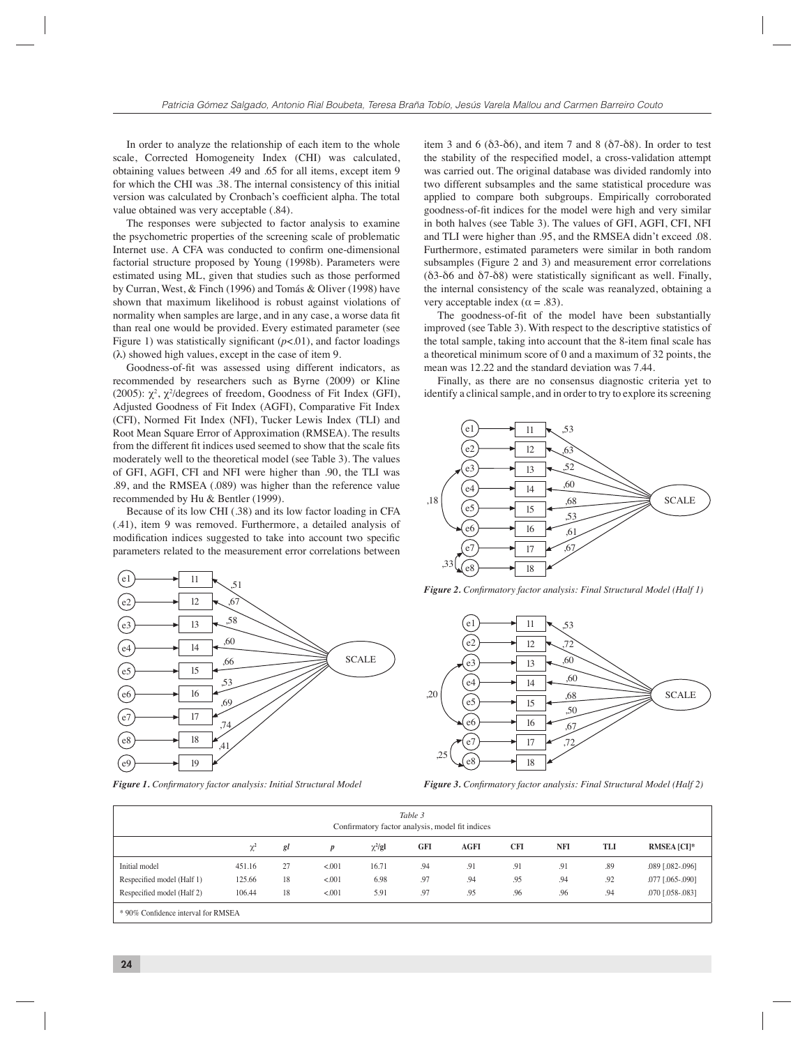In order to analyze the relationship of each item to the whole scale, Corrected Homogeneity Index (CHI) was calculated, obtaining values between .49 and .65 for all items, except item 9 for which the CHI was .38. The internal consistency of this initial version was calculated by Cronbach's coefficient alpha. The total value obtained was very acceptable (.84).

The responses were subjected to factor analysis to examine the psychometric properties of the screening scale of problematic Internet use. A CFA was conducted to confirm one-dimensional factorial structure proposed by Young (1998b). Parameters were estimated using ML, given that studies such as those performed by Curran, West, & Finch (1996) and Tomás & Oliver (1998) have shown that maximum likelihood is robust against violations of normality when samples are large, and in any case, a worse data fit than real one would be provided. Every estimated parameter (see Figure 1) was statistically significant  $(p<.01)$ , and factor loadings (λ) showed high values, except in the case of item 9.

Goodness-of-fit was assessed using different indicators, as recommended by researchers such as Byrne (2009) or Kline (2005):  $\chi^2$ ,  $\chi^2$ /degrees of freedom, Goodness of Fit Index (GFI), Adjusted Goodness of Fit Index (AGFI), Comparative Fit Index (CFI), Normed Fit Index (NFI), Tucker Lewis Index (TLI) and Root Mean Square Error of Approximation (RMSEA). The results from the different fit indices used seemed to show that the scale fits moderately well to the theoretical model (see Table 3). The values of GFI, AGFI, CFI and NFI were higher than .90, the TLI was .89, and the RMSEA (.089) was higher than the reference value recommended by Hu & Bentler (1999).

Because of its low CHI (.38) and its low factor loading in CFA (.41), item 9 was removed. Furthermore, a detailed analysis of modification indices suggested to take into account two specific parameters related to the measurement error correlations between



Figure 1. Confirmatory factor analysis: Initial Structural Model

item 3 and 6 ( $\delta$ 3- $\delta$ 6), and item 7 and 8 ( $\delta$ 7- $\delta$ 8). In order to test the stability of the respecified model, a cross-validation attempt was carried out. The original database was divided randomly into two different subsamples and the same statistical procedure was applied to compare both subgroups. Empirically corroborated goodness-of-fi t indices for the model were high and very similar in both halves (see Table 3). The values of GFI, AGFI, CFI, NFI and TLI were higher than .95, and the RMSEA didn't exceed .08. Furthermore, estimated parameters were similar in both random subsamples (Figure 2 and 3) and measurement error correlations  $(δ3-δ6 and δ7-δ8)$  were statistically significant as well. Finally, the internal consistency of the scale was reanalyzed, obtaining a very acceptable index ( $\alpha$  = .83).

The goodness-of-fit of the model have been substantially improved (see Table 3). With respect to the descriptive statistics of the total sample, taking into account that the 8-item final scale has a theoretical minimum score of 0 and a maximum of 32 points, the mean was 12.22 and the standard deviation was 7.44.

Finally, as there are no consensus diagnostic criteria yet to identify a clinical sample, and in order to try to explore its screening



*Figure 2. Confirmatory factor analysis: Final Structural Model (Half 1)* 



*Figure 3. Confirmatory factor analysis: Final Structural Model (Half 2)* 

| Table 3<br>Confirmatory factor analysis, model fit indices |        |    |         |             |     |      |            |            |     |                      |
|------------------------------------------------------------|--------|----|---------|-------------|-----|------|------------|------------|-----|----------------------|
|                                                            | χŕ     | gl | p       | $\chi^2/gl$ | GFI | AGFI | <b>CFI</b> | <b>NFI</b> | TLI | <b>RMSEA [CI]*</b>   |
| Initial model                                              | 451.16 | 27 | < 0.001 | 16.71       | .94 | .91  | .91        | .91        | .89 | $.089$ $[.082-.096]$ |
| Respecified model (Half 1)                                 | 125.66 | 18 | < 0.001 | 6.98        | .97 | .94  | .95        | .94        | .92 | $.077$ $[.065-.090]$ |
| Respecified model (Half 2)                                 | 106.44 | 18 | < .001  | 5.91        | .97 | .95  | .96        | .96        | .94 | $.070$ $[.058-.083]$ |
|                                                            |        |    |         |             |     |      |            |            |     |                      |

90% Confidence interval for RMSEA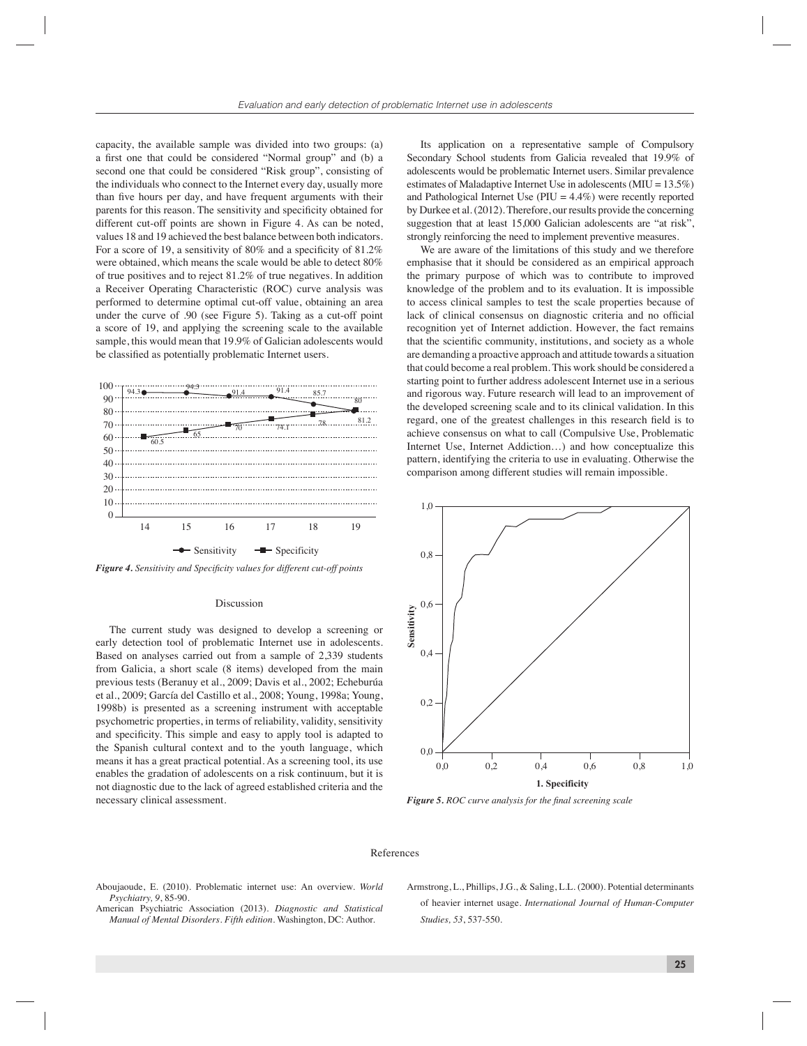capacity, the available sample was divided into two groups: (a) a first one that could be considered "Normal group" and (b) a second one that could be considered "Risk group", consisting of the individuals who connect to the Internet every day, usually more than five hours per day, and have frequent arguments with their parents for this reason. The sensitivity and specificity obtained for different cut-off points are shown in Figure 4. As can be noted, values 18 and 19 achieved the best balance between both indicators. For a score of 19, a sensitivity of 80% and a specificity of 81.2% were obtained, which means the scale would be able to detect 80% of true positives and to reject 81.2% of true negatives. In addition a Receiver Operating Characteristic (ROC) curve analysis was performed to determine optimal cut-off value, obtaining an area under the curve of .90 (see Figure 5). Taking as a cut-off point a score of 19, and applying the screening scale to the available sample, this would mean that 19.9% of Galician adolescents would be classified as potentially problematic Internet users.



Figure 4. Sensitivity and Specificity values for different cut-off points

# Discussion

The current study was designed to develop a screening or early detection tool of problematic Internet use in adolescents. Based on analyses carried out from a sample of 2,339 students from Galicia, a short scale (8 items) developed from the main previous tests (Beranuy et al., 2009; Davis et al., 2002; Echeburúa et al., 2009; García del Castillo et al., 2008; Young, 1998a; Young, 1998b) is presented as a screening instrument with acceptable psychometric properties, in terms of reliability, validity, sensitivity and specificity. This simple and easy to apply tool is adapted to the Spanish cultural context and to the youth language, which means it has a great practical potential. As a screening tool, its use enables the gradation of adolescents on a risk continuum, but it is not diagnostic due to the lack of agreed established criteria and the necessary clinical assessment.

Its application on a representative sample of Compulsory Secondary School students from Galicia revealed that 19.9% of adolescents would be problematic Internet users. Similar prevalence estimates of Maladaptive Internet Use in adolescents (MIU = 13.5%) and Pathological Internet Use ( $PIU = 4.4\%$ ) were recently reported by Durkee et al. (2012). Therefore, our results provide the concerning suggestion that at least 15,000 Galician adolescents are "at risk". strongly reinforcing the need to implement preventive measures.

We are aware of the limitations of this study and we therefore emphasise that it should be considered as an empirical approach the primary purpose of which was to contribute to improved knowledge of the problem and to its evaluation. It is impossible to access clinical samples to test the scale properties because of lack of clinical consensus on diagnostic criteria and no official recognition yet of Internet addiction. However, the fact remains that the scientific community, institutions, and society as a whole are demanding a proactive approach and attitude towards a situation that could become a real problem. This work should be considered a starting point to further address adolescent Internet use in a serious and rigorous way. Future research will lead to an improvement of the developed screening scale and to its clinical validation. In this regard, one of the greatest challenges in this research field is to achieve consensus on what to call (Compulsive Use, Problematic Internet Use, Internet Addiction…) and how conceptualize this pattern, identifying the criteria to use in evaluating. Otherwise the comparison among different studies will remain impossible.



*Figure 5. ROC curve analysis for the final screening scale* 

## References

- Aboujaoude, E. (2010). Problematic internet use: An overview. *World Psychiatry, 9*, 85-90.
- American Psychiatric Association (2013). *Diagnostic and Statistical Manual of Mental Disorders. Fifth edition*. Washington, DC: Author.
- Armstrong, L., Phillips, J.G., & Saling, L.L. (2000). Potential determinants of heavier internet usage. *International Journal of Human-Computer Studies, 53*, 537-550.